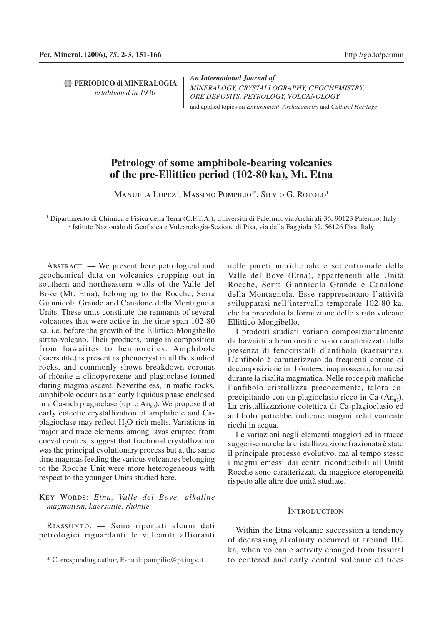**PERIODICO di MINERALOGIA** *established in 1930*

*An International Journal of MINERALOGY, CRYSTALLOGRAPHY, GEOCHEMISTRY, ORE DEPOSITS, PETROLOGY, VOLCANOLOGY* and applied topics on *Environment*, *Archaeometry* and *Cultural Heritage*

# **Petrology of some amphibole-bearing volcanics of the pre-Ellittico period (102-80 ka), Mt. Etna**

Manuela Lopez<sup>1</sup>, Massimo Pompilio<sup>2\*</sup>, Silvio G. Rotolo<sup>1</sup>

1 Dipartimento di Chimica e Fisica della Terra (C.F.T.A.), Università di Palermo, via Archirafi 36, 90123 Palermo, Italy 2 Istituto Nazionale di Geofisica e Vulcanologia-Sezione di Pisa, via della Faggiola 32, 56126 Pisa, Italy

Abstract. — We present here petrological and geochemical data on volcanics cropping out in southern and northeastern walls of the Valle del Bove (Mt. Etna), belonging to the Rocche, Serra Giannicola Grande and Canalone della Montagnola Units. These units constitute the remnants of several volcanoes that were active in the time span 102-80 ka, i.e. before the growth of the Ellittico-Mongibello strato-volcano. Their products, range in composition from hawaiites to benmoreites. Amphibole (kaersutite) is present as phenocryst in all the studied rocks, and commonly shows breakdown coronas of rhönite ± clinopyroxene and plagioclase formed during magma ascent. Nevertheless, in mafic rocks, amphibole occurs as an early liquidus phase enclosed in a Ca-rich plagioclase (up to  $An_{87}$ ). We propose that early cotectic crystallization of amphibole and Caplagioclase may reflect H2O-rich melts. Variations in major and trace elements among lavas erupted from coeval centres, suggest that fractional crystallization was the principal evolutionary process but at the same time magmas feeding the various volcanoes belonging to the Rocche Unit were more heterogeneous with respect to the younger Units studied here.

## Key Words: *Etna, Valle del Bove, alkaline magmatism, kaersutite, rhönite.*

Riassunto. — Sono riportati alcuni dati petrologici riguardanti le vulcaniti affioranti nelle pareti meridionale e settentrionale della Valle del Bove (Etna), appartenenti alle Unità Rocche, Serra Giannicola Grande e Canalone della Montagnola. Esse rappresentano l'attività sviluppatasi nell'intervallo temporale 102-80 ka, che ha preceduto la formazione dello strato vulcano Ellittico-Mongibello.

I prodotti studiati variano composizionalmente da hawaiiti a benmoreiti e sono caratterizzati dalla presenza di fenocristalli d'anfibolo (kaersutite). L'anfibolo è caratterizzato da frequenti corone di decomposizione in rhönite±clinopirosseno, formatesi durante la risalita magmatica. Nelle rocce più mafiche l'anfibolo cristallizza precocemente, talora coprecipitando con un plagioclasio ricco in Ca  $(\text{An}_{\text{S}})$ . La cristallizzazione cotettica di Ca-plagioclasio ed anfibolo potrebbe indicare magmi relativamente ricchi in acqua.

Le variazioni negli elementi maggiori ed in tracce suggeriscono che la cristallizzazione frazionata è stato il principale processo evolutivo, ma al tempo stesso i magmi emessi dai centri riconducibili all'Unità Rocche sono caratterizzati da maggiore eterogeneità rispetto alle altre due unità studiate.

## **INTRODUCTION**

Within the Etna volcanic succession a tendency of decreasing alkalinity occurred at around 100 ka, when volcanic activity changed from fissural to centered and early central volcanic edifices

<sup>\*</sup> Corresponding author, E-mail: pompilio@pi.ingv.it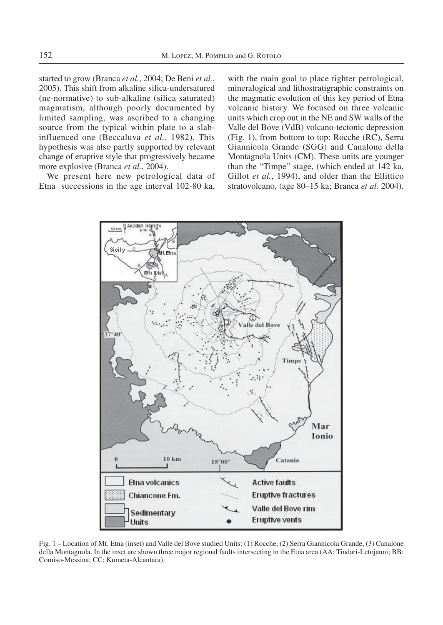started to grow (Branca *et al.*, 2004; De Beni *et al.*, 2005). This shift from alkaline silica-undersatured (ne-normative) to sub-alkaline (silica saturated) magmatism, although poorly documented by limited sampling, was ascribed to a changing source from the typical within plate to a slabinfluenced one (Beccaluva *et al.*, 1982). This hypothesis was also partly supported by relevant change of eruptive style that progressively became more explosive (Branca *et al.*, 2004).

We present here new petrological data of Etna successions in the age interval 102-80 ka,

with the main goal to place tighter petrological. mineralogical and lithostratigraphic constraints on the magmatic evolution of this key period of Etna volcanic history. We focused on three volcanic units which crop out in the NE and SW walls of the Valle del Bove (VdB) volcano-tectonic depression (Fig. 1), from bottom to top: Rocche (RC), Serra Giannicola Grande (SGG) and Canalone della Montagnola Units (CM). These units are younger than the "Timpe" stage, (which ended at 142 ka, Gillot *et al.*, 1994), and older than the Ellittico stratovolcano, (age 80–15 ka; Branca *et al.* 2004).



Fig. 1 – Location of Mt. Etna (inset) and Valle del Bove studied Units: (1) Rocche, (2) Serra Giannicola Grande, (3) Canalone della Montagnola. In the inset are shown three major regional faults intersecting in the Etna area (AA: Tindari-Letojanni; BB: Comiso-Messina; CC: Kumeta-Alcantara).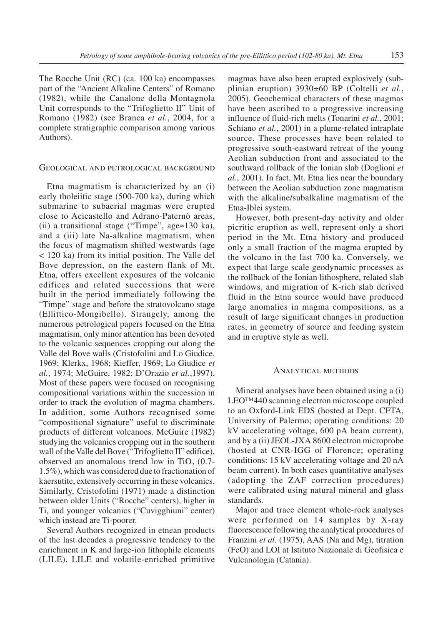The Rocche Unit (RC) (ca. 100 ka) encompasses part of the "Ancient Alkaline Centers" of Romano (1982), while the Canalone della Montagnola Unit corresponds to the "Trifoglietto II" Unit of Romano (1982) (see Branca *et al.*, 2004, for a complete stratigraphic comparison among various Authors).

## Geological and petrological background

Etna magmatism is characterized by an (i) early tholeiitic stage (500-700 ka), during which submarine to subaerial magmas were erupted close to Acicastello and Adrano-Paternò areas, (ii) a transitional stage ("Timpe", age≈130 ka), and a (iii) late Na-alkaline magmatism, when the focus of magmatism shifted westwards (age < 120 ka) from its initial position. The Valle del Bove depression, on the eastern flank of Mt. Etna, offers excellent exposures of the volcanic edifices and related successions that were built in the period immediately following the "Timpe" stage and before the stratovolcano stage (Ellittico-Mongibello). Strangely, among the numerous petrological papers focused on the Etna magmatism, only minor attention has been devoted to the volcanic sequences cropping out along the Valle del Bove walls (Cristofolini and Lo Giudice, 1969; Klerkx, 1968; Kieffer, 1969; Lo Giudice *et al.*, 1974; McGuire, 1982; D'Orazio *et al.*,1997). Most of these papers were focused on recognising compositional variations within the succession in order to track the evolution of magma chambers. In addition, some Authors recognised some "compositional signature" useful to discriminate products of different volcanoes. McGuire (1982) studying the volcanics cropping out in the southern wall of the Valle del Bove ("Trifoglietto II" edifice), observed an anomalous trend low in TiO<sub>2</sub>  $(0.7-$ 1.5%), which was considered due to fractionation of kaersutite, extensively occurring in these volcanics. Similarly, Cristofolini (1971) made a distinction between older Units ("Rocche" centers), higher in Ti, and younger volcanics ("Cuvigghiuni" center) which instead are Ti-poorer.

Several Authors recognized in etnean products of the last decades a progressive tendency to the enrichment in K and large-ion lithophile elements (LILE). LILE and volatile-enriched primitive

magmas have also been erupted explosively (subplinian eruption) 3930±60 BP (Coltelli *et al.*, 2005). Geochemical characters of these magmas have been ascribed to a progressive increasing influence of fluid-rich melts (Tonarini *et al.*, 2001; Schiano *et al.*, 2001) in a plume-related intraplate source. These processes have been related to progressive south-eastward retreat of the young Aeolian subduction front and associated to the southward rollback of the Ionian slab (Doglioni *et al.*, 2001). In fact, Mt. Etna lies near the boundary between the Aeolian subduction zone magmatism with the alkaline/subalkaline magmatism of the Etna-Iblei system.

However, both present-day activity and older picritic eruption as well, represent only a short period in the Mt. Etna history and produced only a small fraction of the magma erupted by the volcano in the last 700 ka. Conversely, we expect that large scale geodynamic processes as the rollback of the Ionian lithosphere, related slab windows, and migration of K-rich slab derived fluid in the Etna source would have produced large anomalies in magma compositions, as a result of large significant changes in production rates, in geometry of source and feeding system and in eruptive style as well.

#### Analytical methods

Mineral analyses have been obtained using a (i) LEO™440 scanning electron microscope coupled to an Oxford-Link EDS (hosted at Dept. CFTA, University of Palermo; operating conditions: 20 kV accelerating voltage, 600 pA beam current), and by a (ii) JEOL-JXA 8600 electron microprobe (hosted at CNR-IGG of Florence; operating conditions: 15 kV accelerating voltage and 20 nA beam current). In both cases quantitative analyses (adopting the ZAF correction procedures) were calibrated using natural mineral and glass standards.

Major and trace element whole-rock analyses were performed on 14 samples by X-ray fluorescence following the analytical procedures of Franzini *et al.* (1975), AAS (Na and Mg), titration (FeO) and LOI at Istituto Nazionale di Geofisica e Vulcanologia (Catania).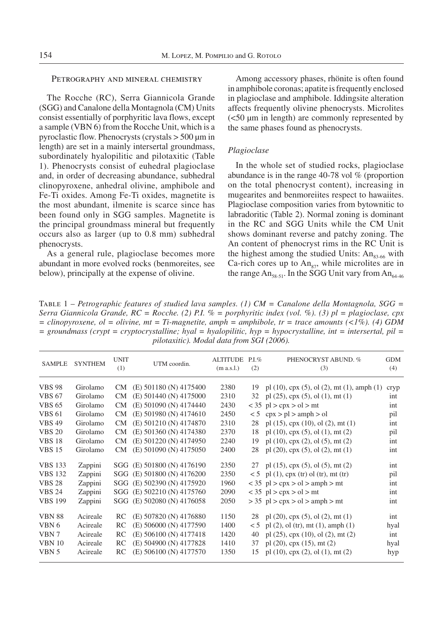### PETROGRAPHY AND MINERAL CHEMISTRY

The Rocche (RC), Serra Giannicola Grande (SGG) and Canalone della Montagnola (CM) Units consist essentially of porphyritic lava flows, except a sample (VBN 6) from the Rocche Unit, which is a pyroclastic flow. Phenocrysts (crystals > 500 μm in length) are set in a mainly intersertal groundmass, subordinately hyalopilitic and pilotaxitic (Table 1). Phenocrysts consist of euhedral plagioclase and, in order of decreasing abundance, subhedral clinopyroxene, anhedral olivine, amphibole and Fe-Ti oxides. Among Fe-Ti oxides, magnetite is the most abundant, ilmenite is scarce since has been found only in SGG samples. Magnetite is the principal groundmass mineral but frequently occurs also as larger (up to 0.8 mm) subhedral phenocrysts.

As a general rule, plagioclase becomes more abundant in more evolved rocks (benmoreites, see below), principally at the expense of olivine.

Among accessory phases, rhönite is often found in amphibole coronas; apatite is frequently enclosed in plagioclase and amphibole. Iddingsite alteration affects frequently olivine phenocrysts. Microlites (<50 μm in length) are commonly represented by the same phases found as phenocrysts.

## *Plagioclase*

In the whole set of studied rocks, plagioclase abundance is in the range 40-78 vol % (proportion on the total phenocryst content), increasing in mugearites and benmoreiites respect to hawaiites. Plagioclase composition varies from bytownitic to labradoritic (Table 2). Normal zoning is dominant in the RC and SGG Units while the CM Unit shows dominant reverse and patchy zoning. The An content of phenocryst rims in the RC Unit is the highest among the studied Units:  $An_{83-66}$  with Ca-rich cores up to  $An_{97}$ , while microlites are in the range  $An_{58-51}$ . In the SGG Unit vary from  $An_{64-46}$ 

Table 1 – *Petrographic features of studied lava samples. (1) CM = Canalone della Montagnola, SGG = Serra Giannicola Grande, RC = Rocche. (2) P.I. % = porphyritic index (vol. %). (3) pl = plagioclase, cpx*   $=$  *clinopyroxene, ol*  $=$  *olivine, mt*  $=$  *Ti-magnetite, amph*  $=$  *amphibole, tr*  $=$  *trace amounts (<1%). (4) GDM*  $=$  groundmass (crypt  $=$  cryptocrystalline; hyal  $=$  hyalopilitic, hyp  $=$  hypocrystalline, int  $=$  intersertal, pil  $=$ *pilotaxitic). Modal data from SGI (2006).*

| <b>SAMPLE</b>  | <b>SYNTHEM</b> | <b>UNIT</b><br>(1) | UTM coordin.               | <b>ALTITUDE</b><br>(m a.s.1.) | $P.I.\%$<br>(2) | PHENOCRYST ABUND. %<br>(3)                               | <b>GDM</b><br>(4) |
|----------------|----------------|--------------------|----------------------------|-------------------------------|-----------------|----------------------------------------------------------|-------------------|
| <b>VBS 98</b>  | Girolamo       | CM                 | $(E)$ 501180 (N) 4175400   | 2380                          | 19              | pl $(10)$ , cpx $(5)$ , ol $(2)$ , mt $(1)$ , amph $(1)$ | cryp              |
| <b>VBS 67</b>  | Girolamo       | CМ                 | $(E)$ 501440 (N) 4175000   | 2310                          |                 | 32 pl $(25)$ , cpx $(5)$ , ol $(1)$ , mt $(1)$           | int               |
| <b>VBS 65</b>  | Girolamo       | CM.                | (E) 501090 (N) 4174440     | 2430                          |                 | $<$ 35 pl $>$ cpx $>$ ol $>$ mt                          | int               |
| <b>VBS 61</b>  | Girolamo       | CM                 | (E) 501980 (N) 4174610     | 2450                          |                 | $< 5$ cpx $>$ pl $>$ amph $>$ ol                         | pil               |
| <b>VBS 49</b>  | Girolamo       | CM                 | (E) 501210 (N) 4174870     | 2310                          | 28              | pl $(15)$ , cpx $(10)$ , ol $(2)$ , mt $(1)$             | int               |
| <b>VBS 20</b>  | Girolamo       | CM                 | (E) 501360 (N) 4174380     | 2370                          | 18              | pl $(10)$ , cpx $(5)$ , ol $(1)$ , mt $(2)$              | pil               |
| <b>VBS 18</b>  | Girolamo       | CM.                | (E) 501220 (N) 4174950     | 2240                          | 19              | pl $(10)$ , cpx $(2)$ , ol $(5)$ , mt $(2)$              | int               |
| <b>VBS 15</b>  | Girolamo       | CМ                 | (E) 501090 (N) 4175050     | 2400                          | 28              | pl $(20)$ , cpx $(5)$ , ol $(2)$ , mt $(1)$              | int               |
| <b>VBS</b> 133 | Zappini        |                    | SGG (E) 501800 (N) 4176190 | 2350                          |                 | 27 pl $(15)$ , cpx $(5)$ , ol $(5)$ , mt $(2)$           | int               |
| <b>VBS 132</b> | Zappini        |                    | SGG (E) 501800 (N) 4176200 | 2350                          |                 | $< 5$ pl (1), cpx (tr) ol (tr), mt (tr)                  | pil               |
| <b>VBS 28</b>  | Zappini        | SGG                | (E) 502390 (N) 4175920     | 1960                          |                 | $<$ 35 pl > cpx > ol > amph > mt                         | int               |
| <b>VBS 24</b>  | Zappini        | SGG                | (E) 502210 (N) 4175760     | 2090                          |                 | $<$ 35 pl $>$ cpx $>$ ol $>$ mt                          | int               |
| <b>VBS 199</b> | Zappini        |                    | SGG (E) 502080 (N) 4176058 | 2050                          |                 | $>$ 35 pl $>$ cpx $>$ ol $>$ amph $>$ mt                 | int               |
| <b>VBN 88</b>  | Acireale       | RC                 | (E) 507820 (N) 4176880     | 1150                          | 28              | pl $(20)$ , cpx $(5)$ , ol $(2)$ , mt $(1)$              | int               |
| VBN 6          | Acireale       | RC                 | (E) 506000 (N) 4177590     | 1400                          | < 5             | pl $(2)$ , ol $(tr)$ , mt $(1)$ , amph $(1)$             | hyal              |
| VBN 7          | Acireale       | <b>RC</b>          | (E) 506100 (N) 4177418     | 1420                          | 40              | pl $(25)$ , cpx $(10)$ , ol $(2)$ , mt $(2)$             | int               |
| <b>VBN 10</b>  | Acireale       | <b>RC</b>          | (E) 504900 (N) 4177828     | 1410                          | 37              | pl $(20)$ , cpx $(15)$ , mt $(2)$                        | hyal              |
| VBN 5          | Acireale       | RC                 | (E) 506100 (N) 4177570     | 1350                          | 15              | pl $(10)$ , cpx $(2)$ , ol $(1)$ , mt $(2)$              | hyp               |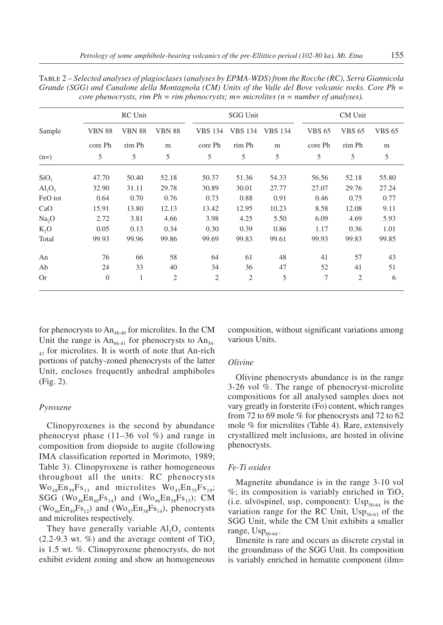|                         |                | RC Unit       |                |                | <b>SGG Unit</b> |                |               | CM Unit        |               |
|-------------------------|----------------|---------------|----------------|----------------|-----------------|----------------|---------------|----------------|---------------|
| Sample                  | <b>VBN 88</b>  | <b>VBN 88</b> | <b>VBN 88</b>  | <b>VBS</b> 134 | <b>VBS</b> 134  | <b>VBS 134</b> | <b>VBS 65</b> | <b>VBS 65</b>  | <b>VBS 65</b> |
|                         | core Ph        | rim Ph        | m              | core Ph        | rim Ph          | m              | core Ph       | rim Ph         | m             |
| $(n=)$                  | 5              | 5             | 5              | 5              | 5               | 5              | 5             | 5              | 5             |
| SiO <sub>2</sub>        | 47.70          | 50.40         | 52.18          | 50.37          | 51.36           | 54.33          | 56.56         | 52.18          | 55.80         |
| $\text{Al}_2\text{O}_3$ | 32.90          | 31.11         | 29.78          | 30.89          | 30.01           | 27.77          | 27.07         | 29.76          | 27.24         |
| FeO tot                 | 0.64           | 0.70          | 0.76           | 0.73           | 0.88            | 0.91           | 0.46          | 0.75           | 0.77          |
| CaO                     | 15.91          | 13.80         | 12.13          | 13.42          | 12.95           | 10.23          | 8.58          | 12.08          | 9.11          |
| Na, O                   | 2.72           | 3.81          | 4.66           | 3.98           | 4.25            | 5.50           | 6.09          | 4.69           | 5.93          |
| K, O                    | 0.05           | 0.13          | 0.34           | 0.30           | 0.39            | 0.86           | 1.17          | 0.36           | 1.01          |
| Total                   | 99.93          | 99.96         | 99.86          | 99.69          | 99.83           | 99.61          | 99.93         | 99.83          | 99.85         |
| An                      | 76             | 66            | 58             | 64             | 61              | 48             | 41            | 57             | 43            |
| Ab                      | 24             | 33            | 40             | 34             | 36              | 47             | 52            | 41             | 51            |
| <b>Or</b>               | $\overline{0}$ | 1             | $\overline{2}$ | $\overline{2}$ | $\overline{2}$  | 5              | 7             | $\overline{2}$ | 6             |

Table 2 – *Selected analyses of plagioclases (analyses by EPMA-WDS) from the Rocche (RC), Serra Giannicola Grande (SGG) and Canalone della Montagnola (CM) Units of the Valle del Bove volcanic rocks. Core Ph = core phenocrysts, rim Ph = rim phenocrysts; m= microlites (n = number of analyses).*

for phenocrysts to  $An$ <sub>48-40</sub> for microlites. In the CM Unit the range is  $An_{66-41}$  for phenocrysts to  $An_{54-4}$  $_{43}$  for microlites. It is worth of note that An-rich portions of patchy-zoned phenocrysts of the latter Unit, encloses frequently anhedral amphiboles (Fig. 2).

## *Pyroxene*

Clinopyroxenes is the second by abundance phenocryst phase  $(11–36 \text{ vol } \%)$  and range in composition from diopside to augite (following IMA classification reported in Morimoto, 1989; Table 3). Clinopyroxene is rather homogeneous throughout all the units: RC phenocrysts  $\rm{Wo}_{48}En_{39}Fs_{13}$  and microlites  $\rm{Wo}_{45}En_{35}Fs_{19}$ ; SGG ( $\text{Wo}_{46}\text{En}_{40}\text{Fs}_{14}$ ) and ( $\text{Wo}_{46}\text{En}_{38}\text{Fs}_{15}$ ); CM  $(Wo_{46}En_{40}Fs_{12})$  and  $(Wo_{47}En_{38}Fs_{14})$ , phenocrysts and microlites respectively.

They have generally variable  $AI<sub>2</sub>O<sub>3</sub>$  contents  $(2.2-9.3 \text{ wt. } \%)$  and the average content of TiO<sub>2</sub> is 1.5 wt. %. Clinopyroxene phenocrysts, do not exhibit evident zoning and show an homogeneous composition, without significant variations among various Units.

#### *Olivine*

Olivine phenocrysts abundance is in the range 3-26 vol %. The range of phenocryst-microlite compositions for all analysed samples does not vary greatly in forsterite (Fo) content, which ranges from 72 to 69 mole % for phenocrysts and 72 to 62 mole % for microlites (Table 4). Rare, extensively crystallized melt inclusions, are hosted in olivine phenocrysts.

#### *Fe-Ti oxides*

Magnetite abundance is in the range 3-10 vol  $\%$ ; its composition is variably enriched in TiO<sub>2</sub> (i.e. ulvöspinel, usp, component):  $\text{USp}_{50-64}$  is the variation range for the RC Unit,  $\text{USp}_{50-63}$  of the SGG Unit, while the CM Unit exhibits a smaller range,  $\text{Usp}_{60-64}$ .

Ilmenite is rare and occurs as discrete crystal in the groundmass of the SGG Unit. Its composition is variably enriched in hematite component (ilm=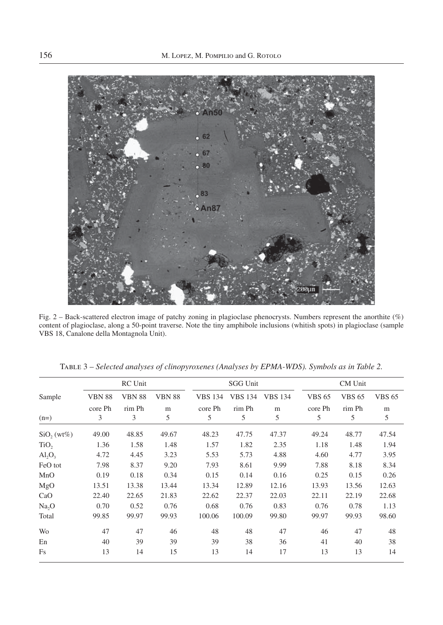

Fig. 2 – Back-scattered electron image of patchy zoning in plagioclase phenocrysts. Numbers represent the anorthite (%) content of plagioclase, along a 50-point traverse. Note the tiny amphibole inclusions (whitish spots) in plagioclase (sample VBS 18, Canalone della Montagnola Unit).

|                  |               | <b>RC</b> Unit |               |                | <b>SGG Unit</b> |                |               | CM Unit       |               |
|------------------|---------------|----------------|---------------|----------------|-----------------|----------------|---------------|---------------|---------------|
| Sample           | <b>VBN 88</b> | <b>VBN 88</b>  | <b>VBN 88</b> | <b>VBS 134</b> | <b>VBS 134</b>  | <b>VBS 134</b> | <b>VBS 65</b> | <b>VBS 65</b> | <b>VBS 65</b> |
|                  | core Ph       | rim Ph         | m             | core Ph        | rim Ph          | m              | core Ph       | rim Ph        | m             |
| $(n=)$           | 3             | 3              | 5             | 5              | 5               | 5              | 5             | 5             | 5             |
| $SiO$ , (wt%)    | 49.00         | 48.85          | 49.67         | 48.23          | 47.75           | 47.37          | 49.24         | 48.77         | 47.54         |
| TiO <sub>2</sub> | 1.36          | 1.58           | 1.48          | 1.57           | 1.82            | 2.35           | 1.18          | 1.48          | 1.94          |
| $AI_2O_3$        | 4.72          | 4.45           | 3.23          | 5.53           | 5.73            | 4.88           | 4.60          | 4.77          | 3.95          |
| FeO tot          | 7.98          | 8.37           | 9.20          | 7.93           | 8.61            | 9.99           | 7.88          | 8.18          | 8.34          |
| MnO              | 0.19          | 0.18           | 0.34          | 0.15           | 0.14            | 0.16           | 0.25          | 0.15          | 0.26          |
| MgO              | 13.51         | 13.38          | 13.44         | 13.34          | 12.89           | 12.16          | 13.93         | 13.56         | 12.63         |
| CaO              | 22.40         | 22.65          | 21.83         | 22.62          | 22.37           | 22.03          | 22.11         | 22.19         | 22.68         |
| Na, O            | 0.70          | 0.52           | 0.76          | 0.68           | 0.76            | 0.83           | 0.76          | 0.78          | 1.13          |
| Total            | 99.85         | 99.97          | 99.93         | 100.06         | 100.09          | 99.80          | 99.97         | 99.93         | 98.60         |
| Wo               | 47            | 47             | 46            | 48             | 48              | 47             | 46            | 47            | 48            |
| En               | 40            | 39             | 39            | 39             | 38              | 36             | 41            | 40            | 38            |
| Fs               | 13            | 14             | 15            | 13             | 14              | 17             | 13            | 13            | 14            |

Table 3 – *Selected analyses of clinopyroxenes (Analyses by EPMA-WDS). Symbols as in Table 2.*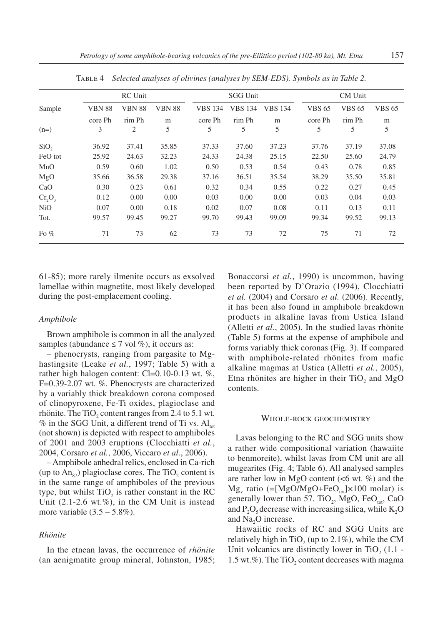|                  |               | <b>RC</b> Unit |               |                | <b>SGG Unit</b> |                |               | CM Unit       |               |
|------------------|---------------|----------------|---------------|----------------|-----------------|----------------|---------------|---------------|---------------|
| Sample           | <b>VBN 88</b> | <b>VBN 88</b>  | <b>VBN 88</b> | <b>VBS 134</b> | <b>VBS 134</b>  | <b>VBS 134</b> | <b>VBS 65</b> | <b>VBS 65</b> | <b>VBS 65</b> |
|                  | core Ph       | rim Ph         | m             | core Ph        | rim Ph          | m              | core Ph       | rim Ph        | m             |
| $(n=)$           | 3             | 2              | 5             | 5              | 5               | 5              | 5             | 5             | 5             |
| SiO <sub>2</sub> | 36.92         | 37.41          | 35.85         | 37.33          | 37.60           | 37.23          | 37.76         | 37.19         | 37.08         |
| FeO tot          | 25.92         | 24.63          | 32.23         | 24.33          | 24.38           | 25.15          | 22.50         | 25.60         | 24.79         |
| MnO              | 0.59          | 0.60           | 1.02          | 0.50           | 0.53            | 0.54           | 0.43          | 0.78          | 0.85          |
| MgO              | 35.66         | 36.58          | 29.38         | 37.16          | 36.51           | 35.54          | 38.29         | 35.50         | 35.81         |
| CaO              | 0.30          | 0.23           | 0.61          | 0.32           | 0.34            | 0.55           | 0.22          | 0.27          | 0.45          |
| $Cr_2O_3$        | 0.12          | 0.00           | 0.00          | 0.03           | 0.00            | 0.00           | 0.03          | 0.04          | 0.03          |
| NiO              | 0.07          | 0.00           | 0.18          | 0.02           | 0.07            | 0.08           | 0.11          | 0.13          | 0.11          |
| Tot.             | 99.57         | 99.45          | 99.27         | 99.70          | 99.43           | 99.09          | 99.34         | 99.52         | 99.13         |
| Fo $%$           | 71            | 73             | 62            | 73             | 73              | 72             | 75            | 71            | 72            |

Table 4 – *Selected analyses of olivines (analyses by SEM-EDS). Symbols as in Table 2.*

61-85); more rarely ilmenite occurs as exsolved lamellae within magnetite, most likely developed during the post-emplacement cooling.

#### *Amphibole*

Brown amphibole is common in all the analyzed samples (abundance  $\leq 7$  vol %), it occurs as:

– phenocrysts, ranging from pargasite to Mghastingsite (Leake *et al.*, 1997; Table 5) with a rather high halogen content: Cl=0.10-0.13 wt. %, F=0.39-2.07 wt. %. Phenocrysts are characterized by a variably thick breakdown corona composed of clinopyroxene, Fe-Ti oxides, plagioclase and rhönite. The TiO<sub>2</sub> content ranges from 2.4 to 5.1 wt.  $%$  in the SGG Unit, a different trend of Ti vs.  $Al<sub>tot</sub>$ (not shown) is depicted with respect to amphiboles of 2001 and 2003 eruptions (Clocchiatti *et al.*, 2004, Corsaro *et al.*, 2006, Viccaro *et al.*, 2006).

– Amphibole anhedral relics, enclosed in Ca-rich (up to  $An_{87}$ ) plagioclase cores. The TiO<sub>2</sub> content is in the same range of amphiboles of the previous type, but whilst  $TiO<sub>2</sub>$  is rather constant in the RC Unit  $(2.1\n-2.6 \text{ wt.}\%)$ , in the CM Unit is instead more variable  $(3.5 - 5.8\%)$ .

## *Rhönite*

In the etnean lavas, the occurrence of *rhönite*  (an aenigmatite group mineral, Johnston, 1985;

Bonaccorsi *et al.*, 1990) is uncommon, having been reported by D'Orazio (1994), Clocchiatti *et al.* (2004) and Corsaro *et al.* (2006). Recently, it has been also found in amphibole breakdown products in alkaline lavas from Ustica Island (Alletti *et al.*, 2005). In the studied lavas rhönite (Table 5) forms at the expense of amphibole and forms variably thick coronas (Fig. 3). If compared with amphibole-related rhönites from mafic alkaline magmas at Ustica (Alletti *et al.*, 2005), Etna rhönites are higher in their TiO<sub>2</sub> and MgO contents.

#### Whole-rock geochemistry

Lavas belonging to the RC and SGG units show a rather wide compositional variation (hawaiite to benmoreite), whilst lavas from CM unit are all mugearites (Fig. 4; Table 6). All analysed samples are rather low in MgO content  $(**6** wt. %)$  and the  $Mg_{v}$  ratio (=[MgO/MgO+FeO<sub>tot</sub>]×100 molar) is generally lower than 57. TiO<sub>2</sub>, MgO, FeO<sub>tot</sub>, CaO and  $P_2O_5$  decrease with increasing silica, while K<sub>2</sub>O and Na<sub>2</sub>O increase.

Hawaiitic rocks of RC and SGG Units are relatively high in TiO<sub>2</sub> (up to 2.1%), while the CM Unit volcanics are distinctly lower in TiO<sub>2</sub> (1.1 - $1.5$  wt.%). The TiO<sub>2</sub> content decreases with magma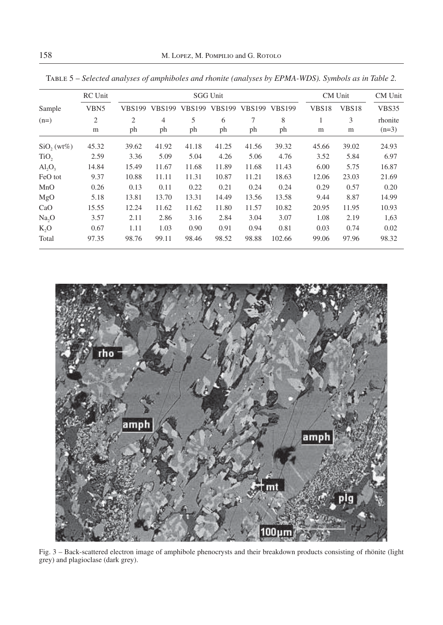|                         | <b>RC</b> Unit   |                |                |               | <b>SGG Unit</b> |               |               |                   | CM Unit | CM Unit |
|-------------------------|------------------|----------------|----------------|---------------|-----------------|---------------|---------------|-------------------|---------|---------|
| Sample                  | VBN <sub>5</sub> | <b>VBS199</b>  | <b>VBS199</b>  | <b>VBS199</b> | <b>VBS199</b>   | <b>VBS199</b> | <b>VBS199</b> | VBS <sub>18</sub> | VBS18   | VBS35   |
| $(n=)$                  | $\overline{c}$   | $\overline{2}$ | $\overline{4}$ | 5             | 6               | 7             | 8             | 1                 | 3       | rhonite |
|                         | m                | ph             | ph             | ph            | ph              | ph            | ph            | m                 | m       | $(n=3)$ |
| $SiO$ , (wt%)           | 45.32            | 39.62          | 41.92          | 41.18         | 41.25           | 41.56         | 39.32         | 45.66             | 39.02   | 24.93   |
| TiO <sub>2</sub>        | 2.59             | 3.36           | 5.09           | 5.04          | 4.26            | 5.06          | 4.76          | 3.52              | 5.84    | 6.97    |
| $\text{Al}_2\text{O}_3$ | 14.84            | 15.49          | 11.67          | 11.68         | 11.89           | 11.68         | 11.43         | 6.00              | 5.75    | 16.87   |
| FeO tot                 | 9.37             | 10.88          | 11.11          | 11.31         | 10.87           | 11.21         | 18.63         | 12.06             | 23.03   | 21.69   |
| MnO                     | 0.26             | 0.13           | 0.11           | 0.22          | 0.21            | 0.24          | 0.24          | 0.29              | 0.57    | 0.20    |
| MgO                     | 5.18             | 13.81          | 13.70          | 13.31         | 14.49           | 13.56         | 13.58         | 9.44              | 8.87    | 14.99   |
| CaO                     | 15.55            | 12.24          | 11.62          | 11.62         | 11.80           | 11.57         | 10.82         | 20.95             | 11.95   | 10.93   |
| Na, O                   | 3.57             | 2.11           | 2.86           | 3.16          | 2.84            | 3.04          | 3.07          | 1.08              | 2.19    | 1,63    |
| K, O                    | 0.67             | 1.11           | 1.03           | 0.90          | 0.91            | 0.94          | 0.81          | 0.03              | 0.74    | 0.02    |
| Total                   | 97.35            | 98.76          | 99.11          | 98.46         | 98.52           | 98.88         | 102.66        | 99.06             | 97.96   | 98.32   |

Table 5 – *Selected analyses of amphiboles and rhonite (analyses by EPMA-WDS). Symbols as in Table 2.*



Fig. 3 – Back-scattered electron image of amphibole phenocrysts and their breakdown products consisting of rhönite (light grey) and plagioclase (dark grey).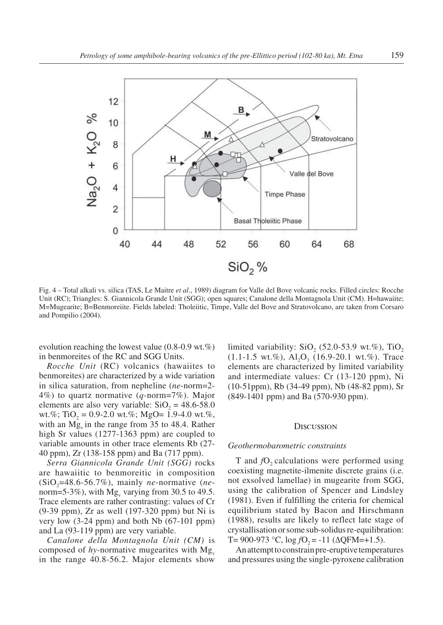

Fig. 4 – Total alkali vs. silica (TAS, Le Maitre *et al.*, 1989) diagram for Valle del Bove volcanic rocks. Filled circles: Rocche Unit (RC); Triangles: S. Giannicola Grande Unit (SGG); open squares; Canalone della Montagnola Unit (CM). H=hawaiite; M=Mugearite; B=Benmoreiite. Fields labeled: Tholeiitic, Timpe, Valle del Bove and Stratovolcano, are taken from Corsaro and Pompilio (2004).

evolution reaching the lowest value (0.8-0.9 wt.%) in benmoreites of the RC and SGG Units.

*Rocche Unit* (RC) volcanics (hawaiites to benmoreites) are characterized by a wide variation in silica saturation, from nepheline (*ne*-norm=2- 4%) to quartz normative (*q-*norm=7%). Major elements are also very variable:  $SiO<sub>2</sub> = 48.6-58.0$ wt.%; TiO<sub>2</sub> = 0.9-2.0 wt.%; MgO= 1.9-4.0 wt.%, with an  $Mg_{v}$  in the range from 35 to 48.4. Rather high Sr values (1277-1363 ppm) are coupled to variable amounts in other trace elements Rb (27- 40 ppm), Zr (138-158 ppm) and Ba (717 ppm).

*Serra Giannicola Grande Unit (SGG)* rocks are hawaiitic to benmoreitic in composition  $(SiO<sub>2</sub>=48.6-56.7%)$ , mainly *ne*-normative (*ne*norm=5-3%), with  $Mg_v$  varying from 30.5 to 49.5. Trace elements are rather contrasting: values of Cr (9-39 ppm), Zr as well (197-320 ppm) but Ni is very low (3-24 ppm) and both Nb (67-101 ppm) and La (93-119 ppm) are very variable.

*Canalone della Montagnola Unit (CM)* is composed of *hy*-normative mugearites with  $Mg_y$ in the range 40.8-56.2. Major elements show

limited variability:  $SiO<sub>2</sub>$  (52.0-53.9 wt.%), TiO<sub>2</sub>  $(1.1-1.5 \text{ wt.}\%)$ ,  $\text{Al}_2\text{O}_3$   $(16.9-20.1 \text{ wt.}\%)$ . Trace elements are characterized by limited variability and intermediate values: Cr (13-120 ppm), Ni (10-51ppm), Rb (34-49 ppm), Nb (48-82 ppm), Sr (849-1401 ppm) and Ba (570-930 ppm).

#### **DISCUSSION**

#### *Geothermobarometric constraints*

T and *f*O<sub>2</sub> calculations were performed using coexisting magnetite-ilmenite discrete grains (i.e. not exsolved lamellae) in mugearite from SGG, using the calibration of Spencer and Lindsley (1981). Even if fulfilling the criteria for chemical equilibrium stated by Bacon and Hirschmann (1988), results are likely to reflect late stage of crystallisation or some sub-solidus re-equilibration: T= 900-973 °C,  $log fO_2 = -11$  ( $\Delta QFM=+1.5$ ).

An attempt to constrain pre-eruptive temperatures and pressures using the single-pyroxene calibration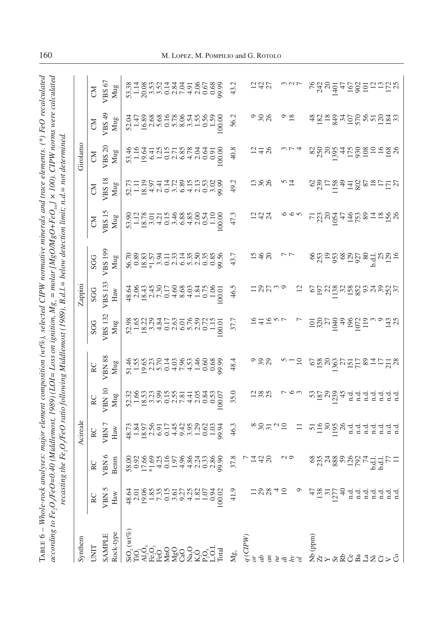| i under<br>$\frac{1}{2}$ |                                                  |                                                                    |
|--------------------------|--------------------------------------------------|--------------------------------------------------------------------|
|                          |                                                  |                                                                    |
|                          | $\overline{ }$<br>i n                            |                                                                    |
|                          |                                                  |                                                                    |
|                          |                                                  |                                                                    |
| $\frac{1}{2}$            | $\sim$ $\sim$ $\sim$ $\sim$ $\sim$<br>$\sim$ rol |                                                                    |
| . albabare.              | - - - - - - - -<br>$\tilde{H}$                   |                                                                    |
|                          | へん<br>1                                          |                                                                    |
|                          |                                                  |                                                                    |
|                          |                                                  |                                                                    |
| ₿                        | $\therefore$ ition, $M_{S_v} = m \omega_{tw}$ .  | ig Middlemost (1989). B.d.l = below detection limit: n.d = not det |
|                          |                                                  |                                                                    |
|                          | 、ここ                                              |                                                                    |
| i                        | $Q = L \omega_{\lambda}$                         |                                                                    |
|                          | $\sum_{i=1}^{n}$                                 |                                                                    |
|                          |                                                  |                                                                    |
|                          |                                                  |                                                                    |
|                          |                                                  |                                                                    |
| апа                      | $2 - 7 - 7$<br>$\mathbf{r}$                      | ting the Fe O /FeO ratio followin                                  |
|                          |                                                  | ţ                                                                  |
|                          |                                                  |                                                                    |
| Ĩ                        |                                                  |                                                                    |
| f<br>E                   |                                                  |                                                                    |

| Synthem                                                                                 |                               |                  | Acireale                                     |             |                          |                | Zappini                                                  |                                                                                                                                                                                                                                  |                                                             |                                                   | Girolamo      |                                         |                               |
|-----------------------------------------------------------------------------------------|-------------------------------|------------------|----------------------------------------------|-------------|--------------------------|----------------|----------------------------------------------------------|----------------------------------------------------------------------------------------------------------------------------------------------------------------------------------------------------------------------------------|-------------------------------------------------------------|---------------------------------------------------|---------------|-----------------------------------------|-------------------------------|
| <b>ENL</b>                                                                              |                               | RC               |                                              | $_{\rm RC}$ |                          |                |                                                          |                                                                                                                                                                                                                                  | $\begin{array}{c}\n\text{CM} \\ \text{VBS 15}\n\end{array}$ |                                                   | <b>N</b>      | ŠЮ                                      | $\mathbb{S}$                  |
| <b>SAMPLE</b>                                                                           | VBN 5                         | VBN              | RC<br>VBN 7                                  | VBN 1       | RC<br>VBN 88             | SGG<br>VBS 132 | SGG<br>VBS 133                                           | SGG<br>VBS 199                                                                                                                                                                                                                   |                                                             | $\frac{CM}{MS18}$                                 | $VBS$ 20      | VBS $49$                                | VBS67                         |
| tock-type                                                                               | $_{\rm Haw}$                  | Benm             | Haw                                          | Mug         | Mug                      | $_{\rm{Mug}}$  | $\mbox{Haw}$                                             | Mug                                                                                                                                                                                                                              | Mug                                                         | Mug                                               | Mug           | Mug                                     | $_{\rm{Mug}}$                 |
|                                                                                         |                               |                  |                                              |             |                          |                |                                                          |                                                                                                                                                                                                                                  |                                                             |                                                   |               |                                         |                               |
|                                                                                         |                               |                  |                                              |             |                          |                |                                                          |                                                                                                                                                                                                                                  |                                                             |                                                   |               |                                         |                               |
| ន្លដ្ឋមាន<br>ខ្លួន ខ្លួន ខេត្តទី ខ្លួន ខ្លួន ខ្លួន<br>ន្លដ្ឋមាន ខ្លួន ខ្លួន ខ្លួន ខ្លួន |                               |                  |                                              |             | 5152452654688955455889   |                |                                                          |                                                                                                                                                                                                                                  |                                                             |                                                   |               |                                         |                               |
|                                                                                         |                               |                  |                                              |             |                          |                |                                                          |                                                                                                                                                                                                                                  |                                                             |                                                   |               |                                         |                               |
|                                                                                         |                               |                  |                                              |             |                          |                |                                                          |                                                                                                                                                                                                                                  |                                                             |                                                   |               |                                         |                               |
|                                                                                         |                               |                  |                                              |             |                          |                |                                                          |                                                                                                                                                                                                                                  |                                                             |                                                   |               |                                         |                               |
|                                                                                         |                               |                  |                                              |             |                          |                |                                                          |                                                                                                                                                                                                                                  |                                                             |                                                   |               |                                         |                               |
|                                                                                         |                               |                  |                                              |             |                          |                |                                                          |                                                                                                                                                                                                                                  |                                                             |                                                   |               |                                         |                               |
|                                                                                         |                               |                  |                                              |             |                          |                |                                                          |                                                                                                                                                                                                                                  |                                                             |                                                   |               |                                         |                               |
|                                                                                         |                               |                  |                                              |             |                          |                |                                                          |                                                                                                                                                                                                                                  |                                                             |                                                   |               |                                         |                               |
|                                                                                         |                               |                  |                                              |             |                          |                |                                                          |                                                                                                                                                                                                                                  |                                                             |                                                   |               |                                         |                               |
|                                                                                         |                               |                  |                                              |             |                          |                |                                                          |                                                                                                                                                                                                                                  |                                                             |                                                   |               |                                         |                               |
|                                                                                         |                               |                  |                                              |             |                          |                | \$<br>\$\$\$\$\$F\$\$\$\$\$\$\$<br>\$\$\$\$\$F\$\$\$\$\$ | commission de la commission de la commission de la commission de la commission de la commission de la commissi<br>Commission de la commission de la commission de la commission de la commission de la commission de la commissi | 5018111988604100<br>5118111988604100                        | 211254128420000                                   |               | 511988916884598900<br>51288891698459890 | 5136511440008<br>513651140008 |
| $\mathop{\rm M}\nolimits_{\mathop{\rm ev}\nolimits}^{\mathop{\rm gr}\nolimits}$         | 41.9                          | 37.8             | 46.3                                         | 35.0        | 48.4                     | 37.7           | 46.5                                                     | 43.7                                                                                                                                                                                                                             | 47.3                                                        | 49.2                                              | 40.8          | 56.2                                    | 43.2                          |
| (CIPW)                                                                                  |                               | $-740$           |                                              |             |                          |                |                                                          |                                                                                                                                                                                                                                  |                                                             |                                                   |               |                                         |                               |
|                                                                                         |                               |                  |                                              |             |                          |                |                                                          |                                                                                                                                                                                                                                  |                                                             |                                                   |               |                                         |                               |
| S                                                                                       |                               |                  |                                              | 288         | ಿ ಇನಿ                    |                |                                                          | 548                                                                                                                                                                                                                              | 542                                                         | 288                                               | 748           | ಿ ೫ ೫                                   | 5427                          |
|                                                                                         | 18840                         |                  | $\infty$ 824 $\approx$                       |             |                          | 74707          | 182200                                                   |                                                                                                                                                                                                                                  |                                                             |                                                   |               |                                         |                               |
|                                                                                         |                               |                  |                                              |             |                          |                |                                                          |                                                                                                                                                                                                                                  |                                                             |                                                   |               |                                         |                               |
| $E \ddot{a}$                                                                            |                               |                  |                                              |             |                          |                |                                                          |                                                                                                                                                                                                                                  |                                                             |                                                   |               | $\frac{8}{18}$                          |                               |
|                                                                                         |                               |                  |                                              |             |                          |                |                                                          |                                                                                                                                                                                                                                  |                                                             |                                                   |               |                                         |                               |
| Nb (ppm) $\frac{Z_T}{Y}$                                                                |                               |                  | n B S S d d d d d d d<br>E S S d d d d d d d |             |                          |                |                                                          |                                                                                                                                                                                                                                  | r gaga ta gasa ng sa                                        |                                                   |               |                                         | 538545855558                  |
|                                                                                         | $\frac{47}{13}$ $\frac{8}{1}$ |                  |                                              |             |                          |                |                                                          |                                                                                                                                                                                                                                  |                                                             |                                                   |               |                                         |                               |
|                                                                                         |                               |                  |                                              |             |                          |                |                                                          |                                                                                                                                                                                                                                  |                                                             |                                                   |               |                                         |                               |
|                                                                                         | 277                           |                  |                                              |             |                          |                |                                                          |                                                                                                                                                                                                                                  |                                                             |                                                   |               |                                         |                               |
|                                                                                         | $_{\rm n,d}$                  |                  |                                              |             |                          |                |                                                          |                                                                                                                                                                                                                                  |                                                             |                                                   |               |                                         |                               |
|                                                                                         |                               |                  |                                              |             |                          |                |                                                          |                                                                                                                                                                                                                                  |                                                             |                                                   |               |                                         |                               |
| <b>SECESTE</b>                                                                          |                               |                  |                                              |             |                          |                |                                                          |                                                                                                                                                                                                                                  |                                                             |                                                   |               |                                         |                               |
|                                                                                         |                               |                  |                                              |             |                          |                |                                                          |                                                                                                                                                                                                                                  |                                                             |                                                   |               |                                         |                               |
|                                                                                         | 멸렬 혈렬 혈                       | 8834888287411511 |                                              |             | $68886$ $5558$ $\pm 238$ |                | ទគ្គនាន្ទីដូនដូនមូល                                      | 80398822887228                                                                                                                                                                                                                   |                                                             | $80 - 200$<br>$8 - 100$<br>$8 - 100$<br>$8 - 100$ | 8838845822288 |                                         |                               |
|                                                                                         |                               |                  |                                              |             |                          |                |                                                          |                                                                                                                                                                                                                                  |                                                             |                                                   |               |                                         |                               |

## 160 M. Lopez, M. POMPILIO and G. ROTOLO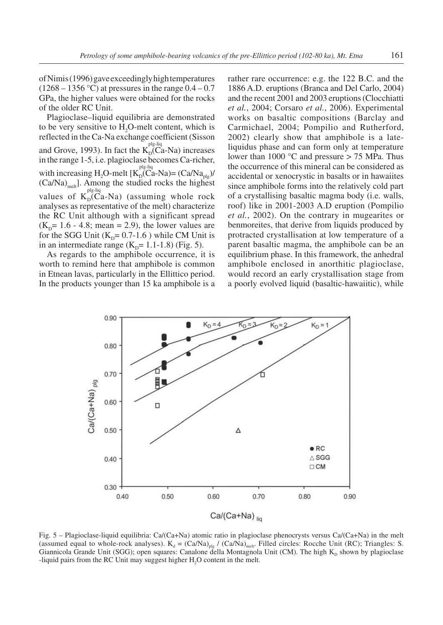of Nimis (1996) gave exceedingly high temperatures  $(1268 - 1356 \degree C)$  at pressures in the range  $0.4 - 0.7$ GPa, the higher values were obtained for the rocks of the older RC Unit.

Plagioclase–liquid equilibria are demonstrated to be very sensitive to H<sub>2</sub>O-melt content, which is reflected in the Ca-Na exchange coefficient (Sisson and Grove, 1993). In fact the  $K_D^{plg-liq}$ -Na) increases in the range 1-5, i.e. plagioclase becomes Ca-richer, with increasing H<sub>2</sub>O-melt  $[K_D^{plg-liq}_{D}(Ca-Na)=(Ca/Na_{plg})/$  $(Ca/Na)_{melt}$ . Among the studied rocks the highest values of  $K_D^{ple-liq}$  (assuming whole rock analyses as representative of the melt) characterize the RC Unit although with a significant spread  $(K<sub>p</sub>= 1.6 - 4.8; mean = 2.9)$ , the lower values are for the SGG Unit  $(K_p= 0.7-1.6)$  while CM Unit is in an intermediate range  $(K_p= 1.1-1.8)$  (Fig. 5).

As regards to the amphibole occurrence, it is worth to remind here that amphibole is common in Etnean lavas, particularly in the Ellittico period. In the products younger than 15 ka amphibole is a

rather rare occurrence: e.g. the 122 B.C. and the 1886 A.D. eruptions (Branca and Del Carlo, 2004) and the recent 2001 and 2003 eruptions (Clocchiatti *et al.*, 2004; Corsaro *et al.*, 2006). Experimental works on basaltic compositions (Barclay and Carmichael, 2004; Pompilio and Rutherford, 2002) clearly show that amphibole is a lateliquidus phase and can form only at temperature lower than 1000 °C and pressure > 75 MPa. Thus the occurrence of this mineral can be considered as accidental or xenocrystic in basalts or in hawaiites since amphibole forms into the relatively cold part of a crystallising basaltic magma body (i.e. walls, roof) like in 2001-2003 A.D eruption (Pompilio *et al.*, 2002). On the contrary in mugearites or benmoreites, that derive from liquids produced by protracted crystallisation at low temperature of a parent basaltic magma, the amphibole can be an equilibrium phase. In this framework, the anhedral amphibole enclosed in anorthitic plagioclase, would record an early crystallisation stage from a poorly evolved liquid (basaltic-hawaiitic), while



Fig. 5 – Plagioclase-liquid equilibria: Ca/(Ca+Na) atomic ratio in plagioclase phenocrysts versus Ca/(Ca+Na) in the melt (assumed equal to whole-rock analyses).  $K_d = (Ca/Na)_{p|g} / (Ca/Na)_{melt}$ . Filled circles: Rocche Unit (RC); Triangles: S. Giannicola Grande Unit (SGG); open squares: Canalone della Montagnola Unit (CM). The high  $K_p$  shown by plagioclase -liquid pairs from the RC Unit may suggest higher H<sub>2</sub>O content in the melt.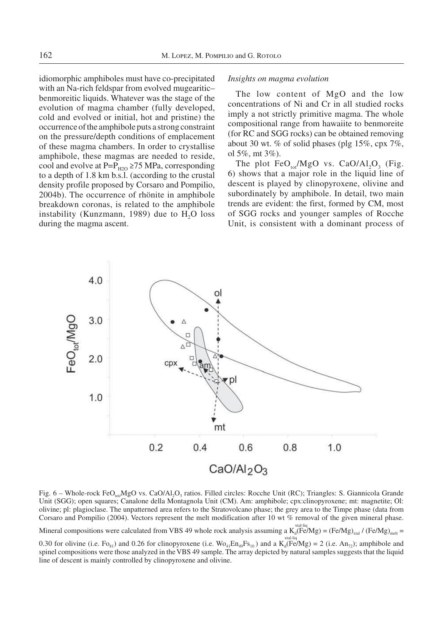idiomorphic amphiboles must have co-precipitated with an Na-rich feldspar from evolved mugearitic– benmoreitic liquids. Whatever was the stage of the evolution of magma chamber (fully developed, cold and evolved or initial, hot and pristine) the occurrence of the amphibole puts a strong constraint on the pressure/depth conditions of emplacement of these magma chambers. In order to crystallise amphibole, these magmas are needed to reside, cool and evolve at P= $P_{H2O}$  ≥75 MPa, corresponding to a depth of 1.8 km b.s.l. (according to the crustal density profile proposed by Corsaro and Pompilio, 2004b). The occurrence of rhönite in amphibole breakdown coronas, is related to the amphibole instability (Kunzmann, 1989) due to H<sub>2</sub>O loss during the magma ascent.

#### *Insights on magma evolution*

The low content of MgO and the low concentrations of Ni and Cr in all studied rocks imply a not strictly primitive magma. The whole compositional range from hawaiite to benmoreite (for RC and SGG rocks) can be obtained removing about 30 wt. % of solid phases (plg  $15\%$ , cpx  $7\%$ , ol 5%, mt 3%).

The plot  $FeO_{tot}/MgO$  vs. CaO/Al<sub>2</sub>O<sub>3</sub> (Fig. 6) shows that a major role in the liquid line of descent is played by clinopyroxene, olivine and subordinately by amphibole. In detail, two main trends are evident: the first, formed by CM, most of SGG rocks and younger samples of Rocche Unit, is consistent with a dominant process of



Fig.  $6$  – Whole-rock FeO<sub>tot</sub>/MgO vs. CaO/Al<sub>2</sub>O<sub>3</sub> ratios. Filled circles: Rocche Unit (RC); Triangles: S. Giannicola Grande Unit (SGG); open squares; Canalone della Montagnola Unit (CM). Am: amphibole; cpx:clinopyroxene; mt: magnetite; Ol: olivine; pl: plagioclase. The unpatterned area refers to the Stratovolcano phase; the grey area to the Timpe phase (data from Corsaro and Pompilio (2004). Vectors represent the melt modification after 10 wt % removal of the given mineral phase.

Mineral compositions were calculated from VBS 49 whole rock analysis assuming a  $K_d(Fe/Mg) = (Fe/Mg)_{xtal}/(Fe/Mg)_{melt} =$ 

0.30 for olivine (i.e. Fo<sub>81</sub>) and 0.26 for clinopyroxene (i.e.  $Wo_{4}En_{49}Fs_{10}$ ) and a  $K_d$ (Fe/Mg) = 2 (i.e. An<sub>72</sub>); amphibole and spinel compositions were those analyzed in the VBS 49 sample. The array depicted by natural samples suggests that the liquid line of descent is mainly controlled by clinopyroxene and olivine.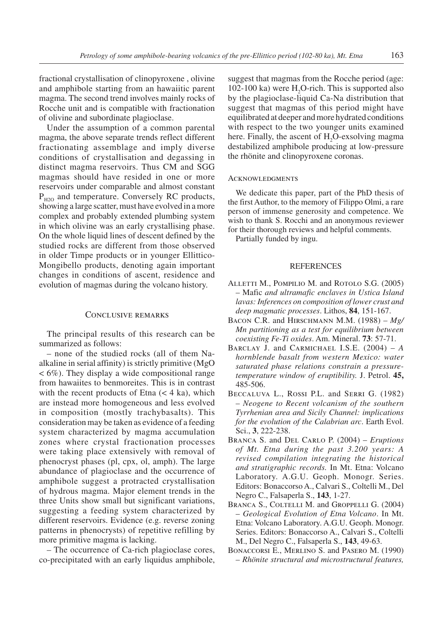fractional crystallisation of clinopyroxene , olivine and amphibole starting from an hawaiitic parent magma. The second trend involves mainly rocks of Rocche unit and is compatible with fractionation of olivine and subordinate plagioclase.

Under the assumption of a common parental magma, the above separate trends reflect different fractionating assemblage and imply diverse conditions of crystallisation and degassing in distinct magma reservoirs. Thus CM and SGG magmas should have resided in one or more reservoirs under comparable and almost constant  $P_{H2O}$  and temperature. Conversely RC products, showing a large scatter, must have evolved in a more complex and probably extended plumbing system in which olivine was an early crystallising phase. On the whole liquid lines of descent defined by the studied rocks are different from those observed in older Timpe products or in younger Ellittico-Mongibello products, denoting again important changes in conditions of ascent, residence and evolution of magmas during the volcano history.

## Conclusive remarks

The principal results of this research can be summarized as follows:

– none of the studied rocks (all of them Naalkaline in serial affinity) is strictly primitive (MgO < 6%). They display a wide compositional range from hawaiites to benmoreites. This is in contrast with the recent products of Etna  $(< 4 \text{ ka})$ , which are instead more homogeneous and less evolved in composition (mostly trachybasalts). This consideration may be taken as evidence of a feeding system characterized by magma accumulation zones where crystal fractionation processes were taking place extensively with removal of phenocryst phases (pl, cpx, ol, amph). The large abundance of plagioclase and the occurrence of amphibole suggest a protracted crystallisation of hydrous magma. Major element trends in the three Units show small but significant variations, suggesting a feeding system characterized by different reservoirs. Evidence (e.g. reverse zoning patterns in phenocrysts) of repetitive refilling by more primitive magma is lacking.

– The occurrence of Ca-rich plagioclase cores, co-precipitated with an early liquidus amphibole,

suggest that magmas from the Rocche period (age:  $102-100$  ka) were H<sub>2</sub>O-rich. This is supported also by the plagioclase-liquid Ca-Na distribution that suggest that magmas of this period might have equilibrated at deeper and more hydrated conditions with respect to the two younger units examined here. Finally, the ascent of H<sub>2</sub>O-exsolving magma destabilized amphibole producing at low-pressure the rhönite and clinopyroxene coronas.

#### **ACKNOWLEDGMENTS**

We dedicate this paper, part of the PhD thesis of the first Author, to the memory of Filippo Olmi, a rare person of immense generosity and competence. We wish to thank S. Rocchi and an anonymous reviewer for their thorough reviews and helpful comments.

Partially funded by ingu.

### REFERENCES

- ALLETTI M., POMPILIO M. and ROTOLO S.G. (2005) – Mafic *and ultramafic enclaves in Ustica Island lavas: Inferences on composition of lower crust and deep magmatic processes*. Lithos, **84**, 151-167.
- Bacon C.R. and Hirschmann M.M. (1988) *Mg/ Mn partitioning as a test for equilibrium between coexisting Fe-Ti oxides*. Am. Mineral. **73**: 57-71.
- Barclay J. and Carmichael I.S.E. (2004) *A hornblende basalt from western Mexico: water saturated phase relations constrain a pressuretemperature window of eruptibility.* J. Petrol. **45,** 485-506.
- Beccaluva L., Rossi P.L. and Serri G. (1982) – *Neogene to Recent volcanism of the southern Tyrrhenian area and Sicily Channel: implications for the evolution of the Calabrian arc*. Earth Evol. Sci., **3**, 222-238.
- Branca S. and Del Carlo P. (2004) *Eruptions of Mt. Etna during the past 3.200 years: A revised compilation integrating the historical and stratigraphic records.* In Mt. Etna: Volcano Laboratory. A.G.U. Geoph. Monogr. Series. Editors: Bonaccorso A., Calvari S., Coltelli M., Del Negro C., Falsaperla S., **143**, 1-27.
- BRANCA S., COLTELLI M. and GROPPELLI G. (2004) – *Geological Evolution of Etna Volcano*. In Mt. Etna: Volcano Laboratory. A.G.U. Geoph. Monogr. Series. Editors: Bonaccorso A., Calvari S., Coltelli M., Del Negro C., Falsaperla S., **143**, 49-63.
- Bonaccorsi E., Merlino S. and Pasero M. (1990) – *Rhönite structural and microstructural features,*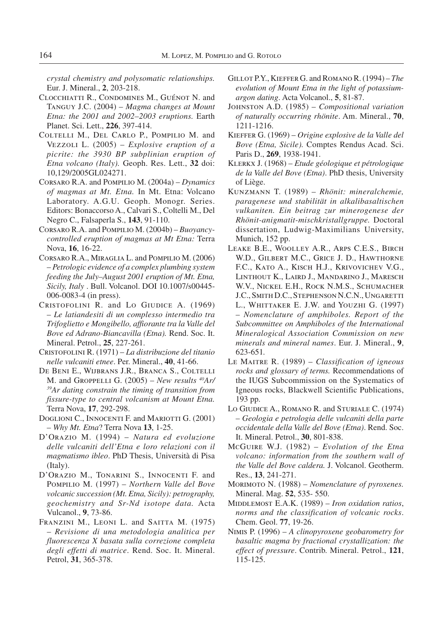*crystal chemistry and polysomatic relationships.* Eur. J. Mineral., **2**, 203-218.

- Clocchiatti R., Condomines M., Guénot N. and Tanguy J.C. (2004) – *Magma changes at Mount Etna: the 2001 and 2002–2003 eruptions.* Earth Planet. Sci. Lett., **226**, 397-414.
- Coltelli M., Del Carlo P., Pompilio M. and Vezzoli L. (2005) – *Explosive eruption of a picrite: the 3930 BP subplinian eruption of Etna volcano (Italy).* Geoph. Res. Lett., **32** doi: 10,129/2005GL024271.
- Corsaro R.A. and Pompilio M. (2004a) *Dynamics of magmas at Mt. Etna.* In Mt. Etna: Volcano Laboratory. A.G.U. Geoph. Monogr. Series. Editors: Bonaccorso A., Calvari S., Coltelli M., Del Negro C., Falsaperla S., **143**, 91-110.
- Corsaro R.A. and Pompilio M. (2004b) *Buoyancycontrolled eruption of magmas at Mt Etna:* Terra Nova, **16**, 16-22.
- Corsaro R.A., Miraglia L. and Pompilio M. (2006) – *Petrologic evidence of a complex plumbing system feeding the July–August 2001 eruption of Mt. Etna, Sicily, Italy* . Bull. Volcanol. DOI 10.1007/s00445- 006-0083-4 (in press).
- CRISTOFOLINI R. and Lo GIUDICE A. (1969) – *Le latiandesiti di un complesso intermedio tra Trifoglietto e Mongibello, affiorante tra la Valle del Bove ed Adrano-Biancavilla (Etna).* Rend. Soc. It. Mineral. Petrol., **25**, 227-261.
- Cristofolini R. (1971) *La distribuzione del titanio nelle vulcaniti etnee*. Per. Mineral., **40**, 41-66.
- De Beni E., Wijbrans J.R., Branca S., Coltelli M. and Groppelli G. (2005) – *New results 40Ar/ 39Ar dating constrain the timing of transition from fissure-type to central volcanism at Mount Etna.* Terra Nova, **17**, 292-298.
- DOGLIONI C., INNOCENTI F. and MARIOTTI G. (2001) – *Why Mt. Etna*? Terra Nova **13**, 1-25.
- D'Orazio M. (1994) *Natura ed evoluzione delle vulcaniti dell'Etna e loro relazioni con il magmatismo ibleo*. PhD Thesis, Università di Pisa (Italy).
- D'Orazio M., Tonarini S., Innocenti F. and Pompilio M. (1997) – *Northern Valle del Bove volcanic succession (Mt. Etna, Sicily): petrography, geochemistry and Sr-Nd isotope data.* Acta Vulcanol., **9**, 73-86.
- FRANZINI M., LEONI L. and SAITTA M. (1975) – *Revisione di una metodologia analitica per fluorescenza X basata sulla correzione completa degli effetti di matrice*. Rend. Soc. It. Mineral. Petrol, **31**, 365-378.
- Gillot P.Y., Kieffer G. and Romano R. (1994) *The evolution of Mount Etna in the light of potassiumargon dating*. Acta Volcanol., **5**, 81-87.
- Johnston A.D. (1985) *Compositional variation of naturally occurring rhönite*. Am. Mineral., **70**, 1211-1216.
- Kieffer G. (1969) *Origine explosive de la Valle del Bove (Etna, Sicile).* Comptes Rendus Acad. Sci. Paris D., **269**, 1938-1941.
- Klerkx J. (1968) *Etude géologique et pétrologique de la Valle del Bove (Etna)*. PhD thesis, University of Liège.
- Kunzmann T. (1989) *Rhönit: mineralchemie, paragenese und stabilität in alkalibasaltischen vulkaniten. Ein beitrag zur minerogenese der Rhönit-anigmatit-mischkristallgruppe.* Doctoral dissertation, Ludwig-Maximilians University, Munich, 152 pp.
- Leake B.E., Woolley A.R., Arps C.E.S., Birch W.D., Gilbert M.C., Grice J. D., Hawthorne F.C., Kato A., Kisch H.J., Krivovichev V.G., Linthout K., Laird J., Mandarino J., Maresch W.V., Nickel E.H., Rock N.M.S., Schumacher J.C., Smith D.C., Stephenson N.C.N., Ungaretti L., WHITTAKER E. J.W. and YOUZHI G. (1997) – *Nomenclature of amphiboles. Report of the Subcommittee on Amphiboles of the International Mineralogical Association Commission on new minerals and mineral names*. Eur. J. Mineral., **9**, 623-651*.*
- Le Maitre R. (1989) *Classification of igneous rocks and glossary of terms.* Recommendations of the IUGS Subcommission on the Systematics of Igneous rocks, Blackwell Scientific Publications, 193 pp.
- Lo Giudice A., Romano R. and Sturiale C. (1974) – *Geologia e petrologia delle vulcaniti della parte occidentale della Valle del Bove (Etna)*. Rend. Soc. It. Mineral. Petrol., **30**, 801-838.
- McGuire W.J. (1982) *Evolution of the Etna volcano: information from the southern wall of the Valle del Bove caldera.* J. Volcanol. Geotherm. Res., **13**, 241-271.
- Morimoto N. (1988) *Nomenclature of pyroxenes.* Mineral. Mag. **52**, 535- 550.
- MIDDLEMOST E.A.K. (1989) *Iron oxidation ratios*, *norms and the classification of volcanic rocks*. Chem. Geol. **77**, 19-26.
- Nimis P. (1996) *A clinopyroxene geobarometry for basaltic magma by fractional crystallization: the effect of pressure*. Contrib. Mineral. Petrol., **121**, 115-125.